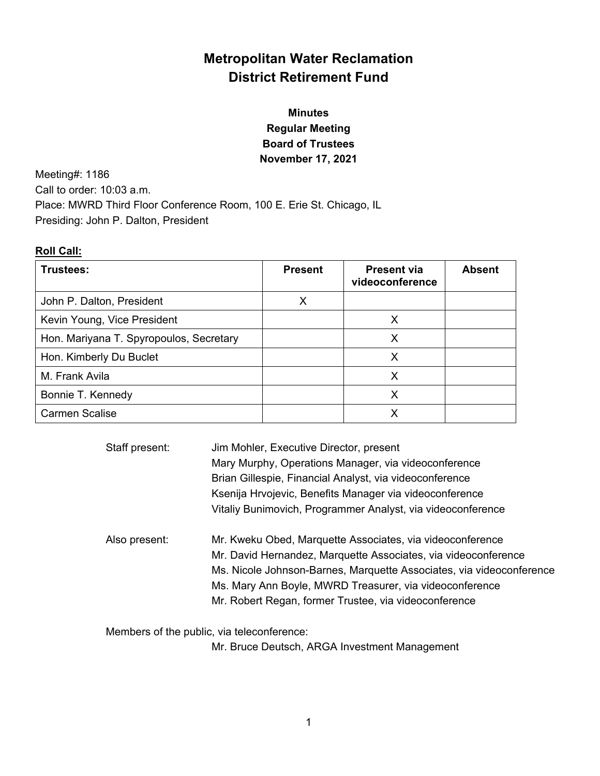# **Metropolitan Water Reclamation District Retirement Fund**

# **Minutes Regular Meeting Board of Trustees November 17, 2021**

Meeting#: 1186 Call to order: 10:03 a.m. Place: MWRD Third Floor Conference Room, 100 E. Erie St. Chicago, IL Presiding: John P. Dalton, President

# **Roll Call:**

| Trustees:                               | <b>Present</b> | <b>Present via</b><br>videoconference | <b>Absent</b> |
|-----------------------------------------|----------------|---------------------------------------|---------------|
| John P. Dalton, President               | Χ              |                                       |               |
| Kevin Young, Vice President             |                | X                                     |               |
| Hon. Mariyana T. Spyropoulos, Secretary |                |                                       |               |
| Hon. Kimberly Du Buclet                 |                | Х                                     |               |
| M. Frank Avila                          |                | Х                                     |               |
| Bonnie T. Kennedy                       |                | X                                     |               |
| <b>Carmen Scalise</b>                   |                |                                       |               |

| Staff present: | Jim Mohler, Executive Director, present<br>Mary Murphy, Operations Manager, via videoconference |
|----------------|-------------------------------------------------------------------------------------------------|
|                | Brian Gillespie, Financial Analyst, via videoconference                                         |
|                | Ksenija Hrvojevic, Benefits Manager via videoconference                                         |
|                | Vitaliy Bunimovich, Programmer Analyst, via videoconference                                     |
| Also present:  | Mr. Kweku Obed, Marquette Associates, via videoconference                                       |
|                | Mr. David Hernandez, Marquette Associates, via videoconference                                  |
|                | Ms. Nicole Johnson-Barnes, Marquette Associates, via videoconference                            |
|                | Ms. Mary Ann Boyle, MWRD Treasurer, via videoconference                                         |
|                | Mr. Robert Regan, former Trustee, via videoconference                                           |

Members of the public, via teleconference:

Mr. Bruce Deutsch, ARGA Investment Management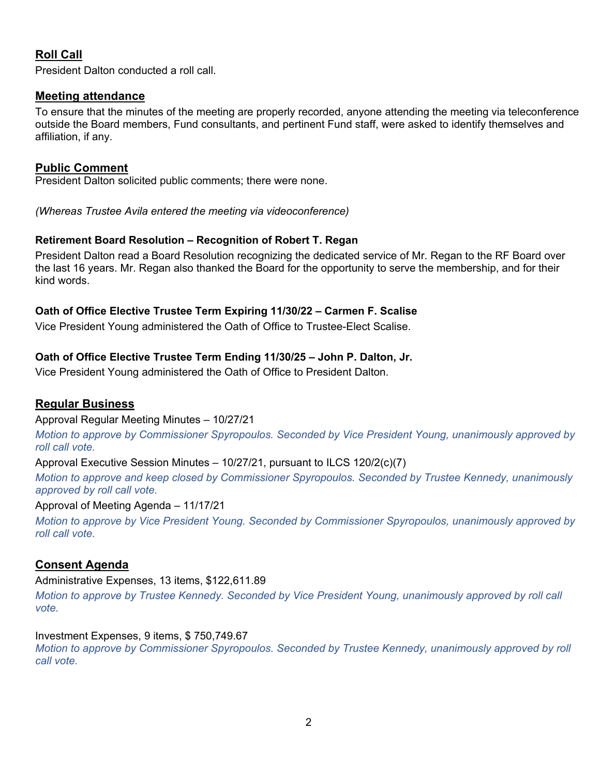# **Roll Call**

President Dalton conducted a roll call.

# **Meeting attendance**

To ensure that the minutes of the meeting are properly recorded, anyone attending the meeting via teleconference outside the Board members, Fund consultants, and pertinent Fund staff, were asked to identify themselves and affiliation, if any.

# **Public Comment**

President Dalton solicited public comments; there were none.

*(Whereas Trustee Avila entered the meeting via videoconference)* 

# **Retirement Board Resolution – Recognition of Robert T. Regan**

President Dalton read a Board Resolution recognizing the dedicated service of Mr. Regan to the RF Board over the last 16 years. Mr. Regan also thanked the Board for the opportunity to serve the membership, and for their kind words.

# **Oath of Office Elective Trustee Term Expiring 11/30/22 – Carmen F. Scalise**

Vice President Young administered the Oath of Office to Trustee-Elect Scalise.

# **Oath of Office Elective Trustee Term Ending 11/30/25 – John P. Dalton, Jr.**

Vice President Young administered the Oath of Office to President Dalton.

# **Regular Business**

Approval Regular Meeting Minutes – 10/27/21

*Motion to approve by Commissioner Spyropoulos. Seconded by Vice President Young, unanimously approved by roll call vote.*

Approval Executive Session Minutes – 10/27/21, pursuant to ILCS 120/2(c)(7)

*Motion to approve and keep closed by Commissioner Spyropoulos. Seconded by Trustee Kennedy, unanimously approved by roll call vote.* 

## Approval of Meeting Agenda – 11/17/21

*Motion to approve by Vice President Young. Seconded by Commissioner Spyropoulos, unanimously approved by roll call vote.* 

# **Consent Agenda**

## Administrative Expenses, 13 items, \$122,611.89

*Motion to approve by Trustee Kennedy. Seconded by Vice President Young, unanimously approved by roll call vote.* 

## Investment Expenses, 9 items, \$ 750,749.67

*Motion to approve by Commissioner Spyropoulos. Seconded by Trustee Kennedy, unanimously approved by roll call vote.*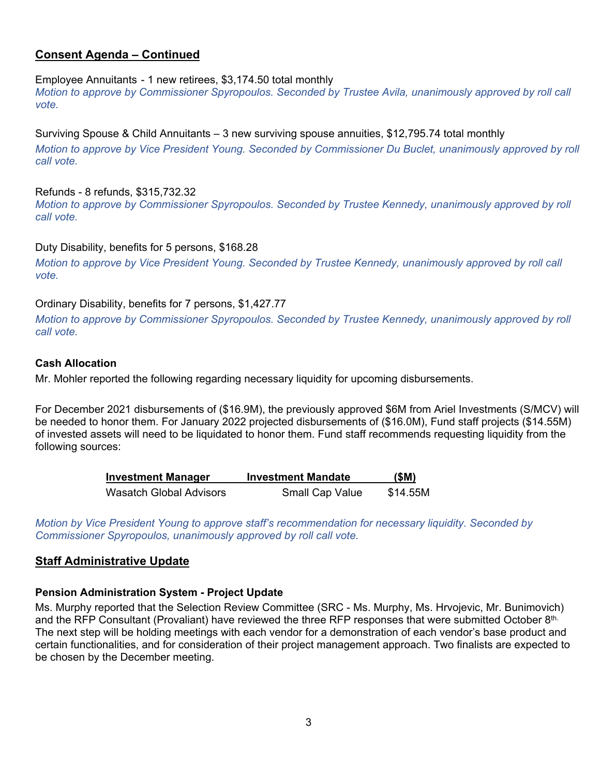# **Consent Agenda – Continued**

#### Employee Annuitants - 1 new retirees, \$3,174.50 total monthly

*Motion to approve by Commissioner Spyropoulos. Seconded by Trustee Avila, unanimously approved by roll call vote.* 

#### Surviving Spouse & Child Annuitants – 3 new surviving spouse annuities, \$12,795.74 total monthly

*Motion to approve by Vice President Young. Seconded by Commissioner Du Buclet, unanimously approved by roll call vote.* 

#### Refunds - 8 refunds, \$315,732.32

*Motion to approve by Commissioner Spyropoulos. Seconded by Trustee Kennedy, unanimously approved by roll call vote.* 

### Duty Disability, benefits for 5 persons, \$168.28

*Motion to approve by Vice President Young. Seconded by Trustee Kennedy, unanimously approved by roll call vote.* 

### Ordinary Disability, benefits for 7 persons, \$1,427.77

*Motion to approve by Commissioner Spyropoulos. Seconded by Trustee Kennedy, unanimously approved by roll call vote.*

#### **Cash Allocation**

Mr. Mohler reported the following regarding necessary liquidity for upcoming disbursements.

For December 2021 disbursements of (\$16.9M), the previously approved \$6M from Ariel Investments (S/MCV) will be needed to honor them. For January 2022 projected disbursements of (\$16.0M), Fund staff projects (\$14.55M) of invested assets will need to be liquidated to honor them. Fund staff recommends requesting liquidity from the following sources:

| <b>Investment Manager</b>      | <b>Investment Mandate</b> | (SM)     |
|--------------------------------|---------------------------|----------|
| <b>Wasatch Global Advisors</b> | <b>Small Cap Value</b>    | \$14.55M |

*Motion by Vice President Young to approve staff's recommendation for necessary liquidity. Seconded by Commissioner Spyropoulos, unanimously approved by roll call vote.* 

## **Staff Administrative Update**

#### **Pension Administration System - Project Update**

Ms. Murphy reported that the Selection Review Committee (SRC - Ms. Murphy, Ms. Hrvojevic, Mr. Bunimovich) and the RFP Consultant (Provaliant) have reviewed the three RFP responses that were submitted October 8th. The next step will be holding meetings with each vendor for a demonstration of each vendor's base product and certain functionalities, and for consideration of their project management approach. Two finalists are expected to be chosen by the December meeting.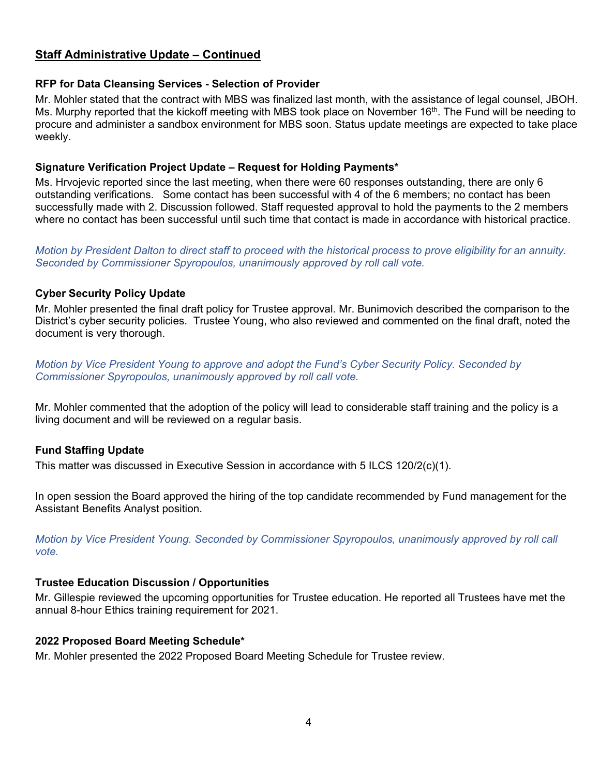# **Staff Administrative Update – Continued**

## **RFP for Data Cleansing Services - Selection of Provider**

Mr. Mohler stated that the contract with MBS was finalized last month, with the assistance of legal counsel, JBOH. Ms. Murphy reported that the kickoff meeting with MBS took place on November 16<sup>th</sup>. The Fund will be needing to procure and administer a sandbox environment for MBS soon. Status update meetings are expected to take place weekly.

## **Signature Verification Project Update – Request for Holding Payments\***

Ms. Hrvojevic reported since the last meeting, when there were 60 responses outstanding, there are only 6 outstanding verifications. Some contact has been successful with 4 of the 6 members; no contact has been successfully made with 2. Discussion followed. Staff requested approval to hold the payments to the 2 members where no contact has been successful until such time that contact is made in accordance with historical practice.

*Motion by President Dalton to direct staff to proceed with the historical process to prove eligibility for an annuity. Seconded by Commissioner Spyropoulos, unanimously approved by roll call vote.* 

### **Cyber Security Policy Update**

Mr. Mohler presented the final draft policy for Trustee approval. Mr. Bunimovich described the comparison to the District's cyber security policies. Trustee Young, who also reviewed and commented on the final draft, noted the document is very thorough.

*Motion by Vice President Young to approve and adopt the Fund's Cyber Security Policy. Seconded by Commissioner Spyropoulos, unanimously approved by roll call vote.* 

Mr. Mohler commented that the adoption of the policy will lead to considerable staff training and the policy is a living document and will be reviewed on a regular basis.

## **Fund Staffing Update**

This matter was discussed in Executive Session in accordance with 5 ILCS 120/2(c)(1).

In open session the Board approved the hiring of the top candidate recommended by Fund management for the Assistant Benefits Analyst position.

*Motion by Vice President Young. Seconded by Commissioner Spyropoulos, unanimously approved by roll call vote.* 

#### **Trustee Education Discussion / Opportunities**

Mr. Gillespie reviewed the upcoming opportunities for Trustee education. He reported all Trustees have met the annual 8-hour Ethics training requirement for 2021.

#### **2022 Proposed Board Meeting Schedule\***

Mr. Mohler presented the 2022 Proposed Board Meeting Schedule for Trustee review.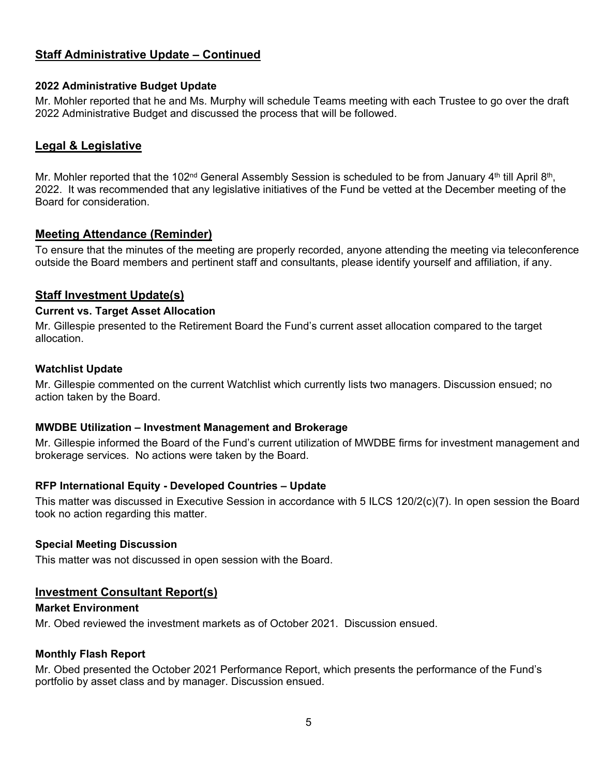# **Staff Administrative Update – Continued**

### **2022 Administrative Budget Update**

Mr. Mohler reported that he and Ms. Murphy will schedule Teams meeting with each Trustee to go over the draft 2022 Administrative Budget and discussed the process that will be followed.

## **Legal & Legislative**

Mr. Mohler reported that the 102<sup>nd</sup> General Assembly Session is scheduled to be from January 4<sup>th</sup> till April 8<sup>th</sup>, 2022. It was recommended that any legislative initiatives of the Fund be vetted at the December meeting of the Board for consideration.

## **Meeting Attendance (Reminder)**

To ensure that the minutes of the meeting are properly recorded, anyone attending the meeting via teleconference outside the Board members and pertinent staff and consultants, please identify yourself and affiliation, if any.

## **Staff Investment Update(s)**

#### **Current vs. Target Asset Allocation**

Mr. Gillespie presented to the Retirement Board the Fund's current asset allocation compared to the target allocation.

#### **Watchlist Update**

Mr. Gillespie commented on the current Watchlist which currently lists two managers. Discussion ensued; no action taken by the Board.

#### **MWDBE Utilization – Investment Management and Brokerage**

Mr. Gillespie informed the Board of the Fund's current utilization of MWDBE firms for investment management and brokerage services. No actions were taken by the Board.

#### **RFP International Equity - Developed Countries – Update**

This matter was discussed in Executive Session in accordance with 5 ILCS 120/2(c)(7). In open session the Board took no action regarding this matter.

#### **Special Meeting Discussion**

This matter was not discussed in open session with the Board.

## **Investment Consultant Report(s)**

#### **Market Environment**

Mr. Obed reviewed the investment markets as of October 2021. Discussion ensued.

#### **Monthly Flash Report**

Mr. Obed presented the October 2021 Performance Report, which presents the performance of the Fund's portfolio by asset class and by manager. Discussion ensued.